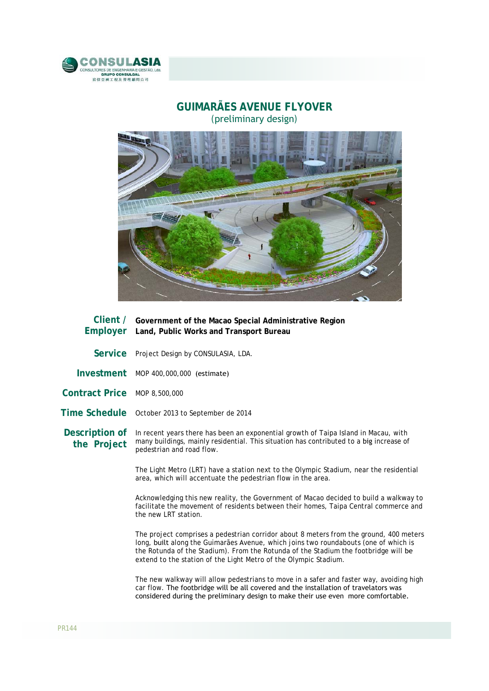

## **GUIMARÃES AVENUE FLYOVER**  (preliminary design)



|                               | Client / Government of the Macao Special Administrative Region<br>Employer Land, Public Works and Transport Bureau                                                                                          |
|-------------------------------|-------------------------------------------------------------------------------------------------------------------------------------------------------------------------------------------------------------|
| <b>Service</b>                | Project Design by CONSULASIA, LDA.                                                                                                                                                                          |
| Investment                    | MOP 400,000,000 (estimate)                                                                                                                                                                                  |
| Contract Price MOP 8,500,000  |                                                                                                                                                                                                             |
|                               | Time Schedule October 2013 to September de 2014                                                                                                                                                             |
| Description of<br>the Project | In recent years there has been an exponential growth of Taipa Island in Macau, with<br>many buildings, mainly residential. This situation has contributed to a big increase of<br>pedestrian and road flow. |
|                               | The Light Metro (LRT) have a station next to the Olympic Stadium, near the residential<br>area, which will accentuate the pedestrian flow in the area.                                                      |
|                               | Acknowledging this new reality, the Government of Macao decided to build a walkway to<br>facilitate the movement of residents between their homes, Taipa Central commerce and<br>the new LRT station.       |

The project comprises a pedestrian corridor about 8 meters from the ground, 400 meters long, built along the Guimarães Avenue, which joins two roundabouts (one of which is the Rotunda of the Stadium). From the Rotunda of the Stadium the footbridge will be extend to the station of the Light Metro of the Olympic Stadium.

The new walkway will allow pedestrians to move in a safer and faster way, avoiding high car flow. The footbridge will be all covered and the installation of travelators was considered during the preliminary design to make their use even more comfortable.